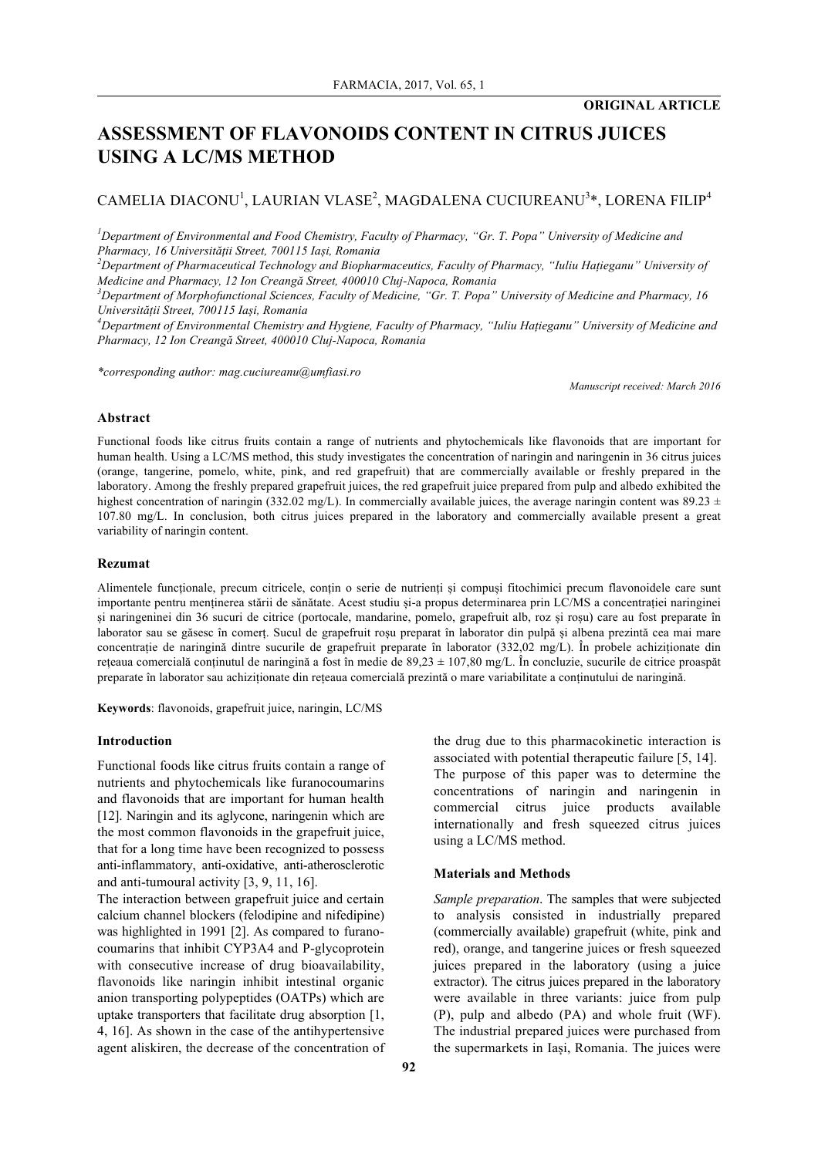# **ASSESSMENT OF FLAVONOIDS CONTENT IN CITRUS JUICES USING A LC/MS METHOD**

## $\mathsf{CAMELIA}$  <code>DIACONU</code><sup>1</sup>, <code>LAURIAN</code> <code>VLASE<sup>2</sup>, <code>MAGDALENA</code> <code>CUCIUREANU</code><sup>3</sup>\*, <code>LORENA FILIP<sup>4</sup></code></code>

*1 Department of Environmental and Food Chemistry, Faculty of Pharmacy, "Gr. T. Popa" University of Medicine and Pharmacy, 16 Universității Street, 700115 Iași, Romania*

*2 Department of Pharmaceutical Technology and Biopharmaceutics, Faculty of Pharmacy, "Iuliu Hațieganu" University of Medicine and Pharmacy, 12 Ion Creangă Street, 400010 Cluj-Napoca, Romania*

*3 Department of Morphofunctional Sciences, Faculty of Medicine, "Gr. T. Popa" University of Medicine and Pharmacy, 16 Universității Street, 700115 Iași, Romania*

*4 Department of Environmental Chemistry and Hygiene, Faculty of Pharmacy, "Iuliu Hațieganu" University of Medicine and Pharmacy, 12 Ion Creangă Street, 400010 Cluj-Napoca, Romania*

*\*corresponding author: mag.cuciureanu@umfiasi.ro*

*Manuscript received: March 2016*

## **Abstract**

Functional foods like citrus fruits contain a range of nutrients and phytochemicals like flavonoids that are important for human health. Using a LC/MS method, this study investigates the concentration of naringin and naringenin in 36 citrus juices (orange, tangerine, pomelo, white, pink, and red grapefruit) that are commercially available or freshly prepared in the laboratory. Among the freshly prepared grapefruit juices, the red grapefruit juice prepared from pulp and albedo exhibited the highest concentration of naringin (332.02 mg/L). In commercially available juices, the average naringin content was 89.23  $\pm$ 107.80 mg/L. In conclusion, both citrus juices prepared in the laboratory and commercially available present a great variability of naringin content.

## **Rezumat**

Alimentele funcționale, precum citricele, conțin o serie de nutrienți și compuși fitochimici precum flavonoidele care sunt importante pentru menținerea stării de sănătate. Acest studiu și-a propus determinarea prin LC/MS a concentrației naringinei și naringeninei din 36 sucuri de citrice (portocale, mandarine, pomelo, grapefruit alb, roz și roșu) care au fost preparate în laborator sau se găsesc în comerț. Sucul de grapefruit roșu preparat în laborator din pulpă și albena prezintă cea mai mare concentrație de naringină dintre sucurile de grapefruit preparate în laborator (332,02 mg/L). În probele achiziționate din rețeaua comercială conținutul de naringină a fost în medie de  $89,23 \pm 107,80$  mg/L. În concluzie, sucurile de citrice proaspăt preparate în laborator sau achiziționate din rețeaua comercială prezintă o mare variabilitate a conținutului de naringină.

**Keywords**: flavonoids, grapefruit juice, naringin, LC/MS

#### **Introduction**

Functional foods like citrus fruits contain a range of nutrients and phytochemicals like furanocoumarins and flavonoids that are important for human health [12]. Naringin and its aglycone, naringenin which are the most common flavonoids in the grapefruit juice, that for a long time have been recognized to possess anti-inflammatory, anti-oxidative, anti-atherosclerotic and anti-tumoural activity [3, 9, 11, 16].

The interaction between grapefruit juice and certain calcium channel blockers (felodipine and nifedipine) was highlighted in 1991 [2]. As compared to furanocoumarins that inhibit CYP3A4 and P-glycoprotein with consecutive increase of drug bioavailability, flavonoids like naringin inhibit intestinal organic anion transporting polypeptides (OATPs) which are uptake transporters that facilitate drug absorption [1, 4, 16]. As shown in the case of the antihypertensive agent aliskiren, the decrease of the concentration of the drug due to this pharmacokinetic interaction is associated with potential therapeutic failure [5, 14]. The purpose of this paper was to determine the concentrations of naringin and naringenin in commercial citrus juice products available internationally and fresh squeezed citrus juices using a LC/MS method.

#### **Materials and Methods**

*Sample preparation*. The samples that were subjected to analysis consisted in industrially prepared (commercially available) grapefruit (white, pink and red), orange, and tangerine juices or fresh squeezed juices prepared in the laboratory (using a juice extractor). The citrus juices prepared in the laboratory were available in three variants: juice from pulp (P), pulp and albedo (PA) and whole fruit (WF). The industrial prepared juices were purchased from the supermarkets in Iași, Romania. The juices were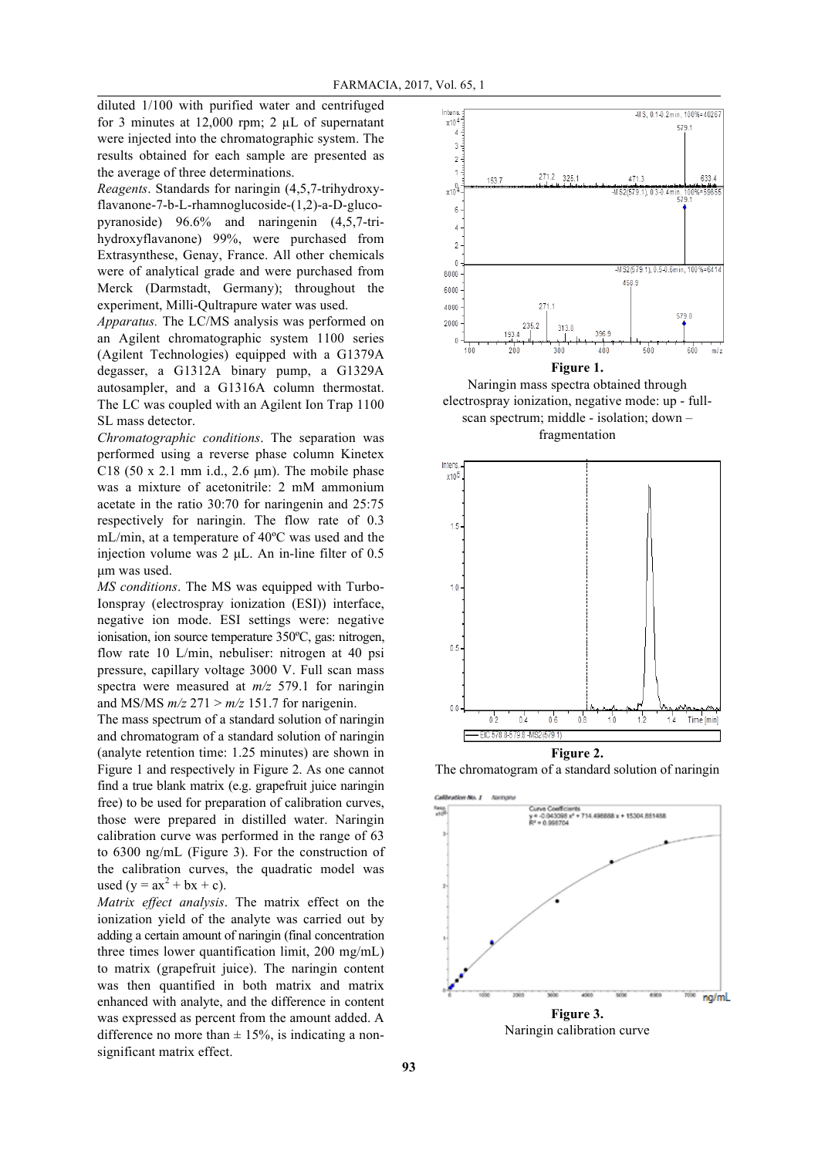diluted 1/100 with purified water and centrifuged for 3 minutes at  $12,000$  rpm; 2  $\mu$ L of supernatant were injected into the chromatographic system. The results obtained for each sample are presented as the average of three determinations.

*Reagents*. Standards for naringin (4,5,7-trihydroxyflavanone-7-b-L-rhamnoglucoside-(1,2)-a-D-glucopyranoside) 96.6% and naringenin (4,5,7-trihydroxyflavanone) 99%, were purchased from Extrasynthese, Genay, France. All other chemicals were of analytical grade and were purchased from Merck (Darmstadt, Germany); throughout the experiment, Milli-Qultrapure water was used.

*Apparatus.* The LC/MS analysis was performed on an Agilent chromatographic system 1100 series (Agilent Technologies) equipped with a G1379A degasser, a G1312A binary pump, a G1329A autosampler, and a G1316A column thermostat. The LC was coupled with an Agilent Ion Trap 1100 SL mass detector.

*Chromatographic conditions*. The separation was performed using a reverse phase column Kinetex C18 (50 x 2.1 mm i.d., 2.6  $\mu$ m). The mobile phase was a mixture of acetonitrile: 2 mM ammonium acetate in the ratio 30:70 for naringenin and 25:75 respectively for naringin. The flow rate of 0.3 mL/min, at a temperature of 40ºC was used and the injection volume was  $2 \mu L$ . An in-line filter of 0.5 µm was used.

*MS conditions*. The MS was equipped with Turbo-Ionspray (electrospray ionization (ESI)) interface, negative ion mode. ESI settings were: negative ionisation, ion source temperature 350ºC, gas: nitrogen, flow rate 10 L/min, nebuliser: nitrogen at 40 psi pressure, capillary voltage 3000 V. Full scan mass spectra were measured at *m/z* 579.1 for naringin and MS/MS  $m/z$  271 >  $m/z$  151.7 for narigenin.

The mass spectrum of a standard solution of naringin and chromatogram of a standard solution of naringin (analyte retention time: 1.25 minutes) are shown in Figure 1 and respectively in Figure 2. As one cannot find a true blank matrix (e.g. grapefruit juice naringin free) to be used for preparation of calibration curves, those were prepared in distilled water. Naringin calibration curve was performed in the range of 63 to 6300 ng/mL (Figure 3). For the construction of the calibration curves, the quadratic model was used (y =  $ax^2 + bx + c$ ).

*Matrix effect analysis*. The matrix effect on the ionization yield of the analyte was carried out by adding a certain amount of naringin (final concentration three times lower quantification limit, 200 mg/mL) to matrix (grapefruit juice). The naringin content was then quantified in both matrix and matrix enhanced with analyte, and the difference in content was expressed as percent from the amount added. A difference no more than  $\pm$  15%, is indicating a nonsignificant matrix effect.







The chromatogram of a standard solution of naringin



Naringin calibration curve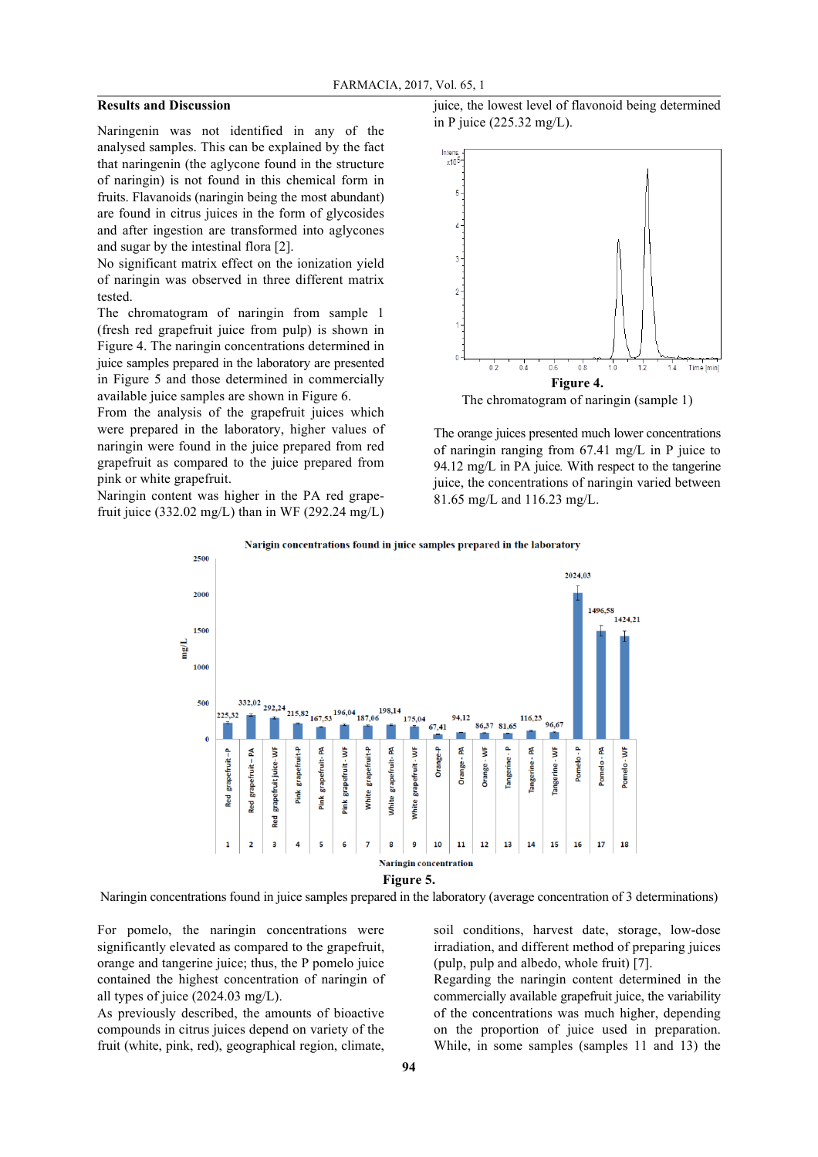## **Results and Discussion**

Naringenin was not identified in any of the analysed samples. This can be explained by the fact that naringenin (the aglycone found in the structure of naringin) is not found in this chemical form in fruits. Flavanoids (naringin being the most abundant) are found in citrus juices in the form of glycosides and after ingestion are transformed into aglycones and sugar by the intestinal flora [2].

No significant matrix effect on the ionization yield of naringin was observed in three different matrix tested.

The chromatogram of naringin from sample 1 (fresh red grapefruit juice from pulp) is shown in Figure 4. The naringin concentrations determined in juice samples prepared in the laboratory are presented in Figure 5 and those determined in commercially available juice samples are shown in Figure 6.

From the analysis of the grapefruit juices which were prepared in the laboratory, higher values of naringin were found in the juice prepared from red grapefruit as compared to the juice prepared from pink or white grapefruit.

Naringin content was higher in the PA red grapefruit juice (332.02 mg/L) than in WF (292.24 mg/L) juice, the lowest level of flavonoid being determined in P juice (225.32 mg/L).



The orange juices presented much lower concentrations of naringin ranging from 67.41 mg/L in P juice to 94.12 mg/L in PA juice*.* With respect to the tangerine juice, the concentrations of naringin varied between 81.65 mg/L and 116.23 mg/L.



Naringin concentrations found in juice samples prepared in the laboratory (average concentration of 3 determinations)

For pomelo, the naringin concentrations were significantly elevated as compared to the grapefruit, orange and tangerine juice; thus, the P pomelo juice contained the highest concentration of naringin of all types of juice (2024.03 mg/L).

As previously described, the amounts of bioactive compounds in citrus juices depend on variety of the fruit (white, pink, red), geographical region, climate, soil conditions, harvest date, storage, low-dose irradiation, and different method of preparing juices (pulp, pulp and albedo, whole fruit) [7].

Regarding the naringin content determined in the commercially available grapefruit juice, the variability of the concentrations was much higher, depending on the proportion of juice used in preparation. While, in some samples (samples 11 and 13) the

Narigin concentrations found in juice samples prepared in the laboratory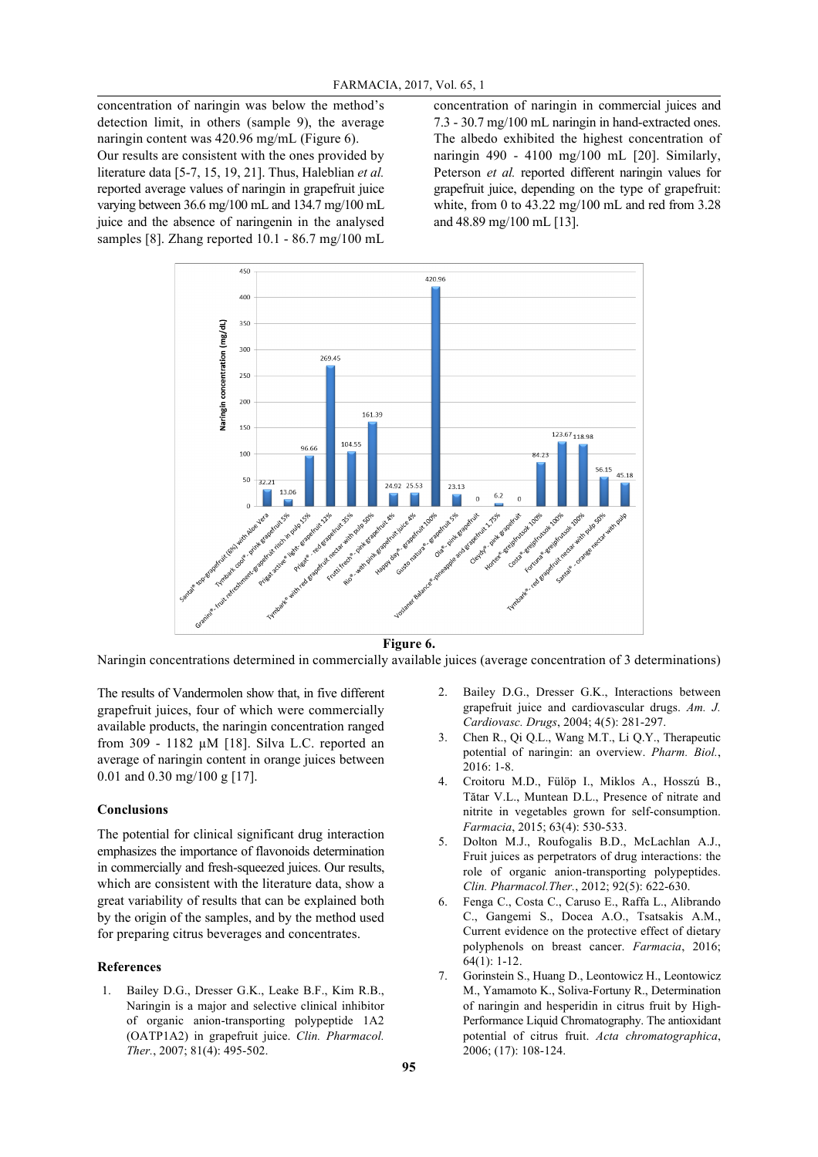concentration of naringin was below the method's detection limit, in others (sample 9), the average naringin content was 420.96 mg/mL (Figure 6). Our results are consistent with the ones provided by literature data [5-7, 15, 19, 21]. Thus, Haleblian *et al.* reported average values of naringin in grapefruit juice varying between 36.6 mg/100 mL and 134.7 mg/100 mL juice and the absence of naringenin in the analysed samples [8]. Zhang reported 10.1 - 86.7 mg/100 mL concentration of naringin in commercial juices and 7.3 - 30.7 mg/100 mL naringin in hand-extracted ones. The albedo exhibited the highest concentration of naringin 490 - 4100 mg/100 mL [20]. Similarly, Peterson *et al.* reported different naringin values for grapefruit juice, depending on the type of grapefruit: white, from 0 to 43.22 mg/100 mL and red from 3.28 and 48.89 mg/100 mL [13].



**Figure 6.**

Naringin concentrations determined in commercially available juices (average concentration of 3 determinations)

The results of Vandermolen show that, in five different grapefruit juices, four of which were commercially available products, the naringin concentration ranged from 309 - 1182 µM [18]. Silva L.C. reported an average of naringin content in orange juices between 0.01 and 0.30 mg/100 g [17].

### **Conclusions**

The potential for clinical significant drug interaction emphasizes the importance of flavonoids determination in commercially and fresh-squeezed juices. Our results, which are consistent with the literature data, show a great variability of results that can be explained both by the origin of the samples, and by the method used for preparing citrus beverages and concentrates.

## **References**

Bailey D.G., Dresser G.K., Leake B.F., Kim R.B., Naringin is a major and selective clinical inhibitor of organic anion-transporting polypeptide 1A2 (OATP1A2) in grapefruit juice. *Clin. Pharmacol. Ther.*, 2007; 81(4): 495-502.

- 2. Bailey D.G., Dresser G.K., Interactions between grapefruit juice and cardiovascular drugs. *Am. J. Cardiovasc. Drugs*, 2004; 4(5): 281-297.
- 3. Chen R., Qi Q.L., Wang M.T., Li Q.Y., Therapeutic potential of naringin: an overview. *Pharm. Biol.*, 2016: 1-8.
- 4. Croitoru M.D., Fülöp I., Miklos A., Hosszú B., Tătar V.L., Muntean D.L., Presence of nitrate and nitrite in vegetables grown for self-consumption. *Farmacia*, 2015; 63(4): 530-533.
- 5. Dolton M.J., Roufogalis B.D., McLachlan A.J., Fruit juices as perpetrators of drug interactions: the role of organic anion-transporting polypeptides. *Clin. Pharmacol.Ther.*, 2012; 92(5): 622-630.
- 6. Fenga C., Costa C., Caruso E., Raffa L., Alibrando C., Gangemi S., Docea A.O., Tsatsakis A.M., Current evidence on the protective effect of dietary polyphenols on breast cancer. *Farmacia*, 2016; 64(1): 1-12.
- 7. Gorinstein S., Huang D., Leontowicz H., Leontowicz M., Yamamoto K., Soliva-Fortuny R., Determination of naringin and hesperidin in citrus fruit by High-Performance Liquid Chromatography. The antioxidant potential of citrus fruit. *Acta chromatographica*, 2006; (17): 108-124.